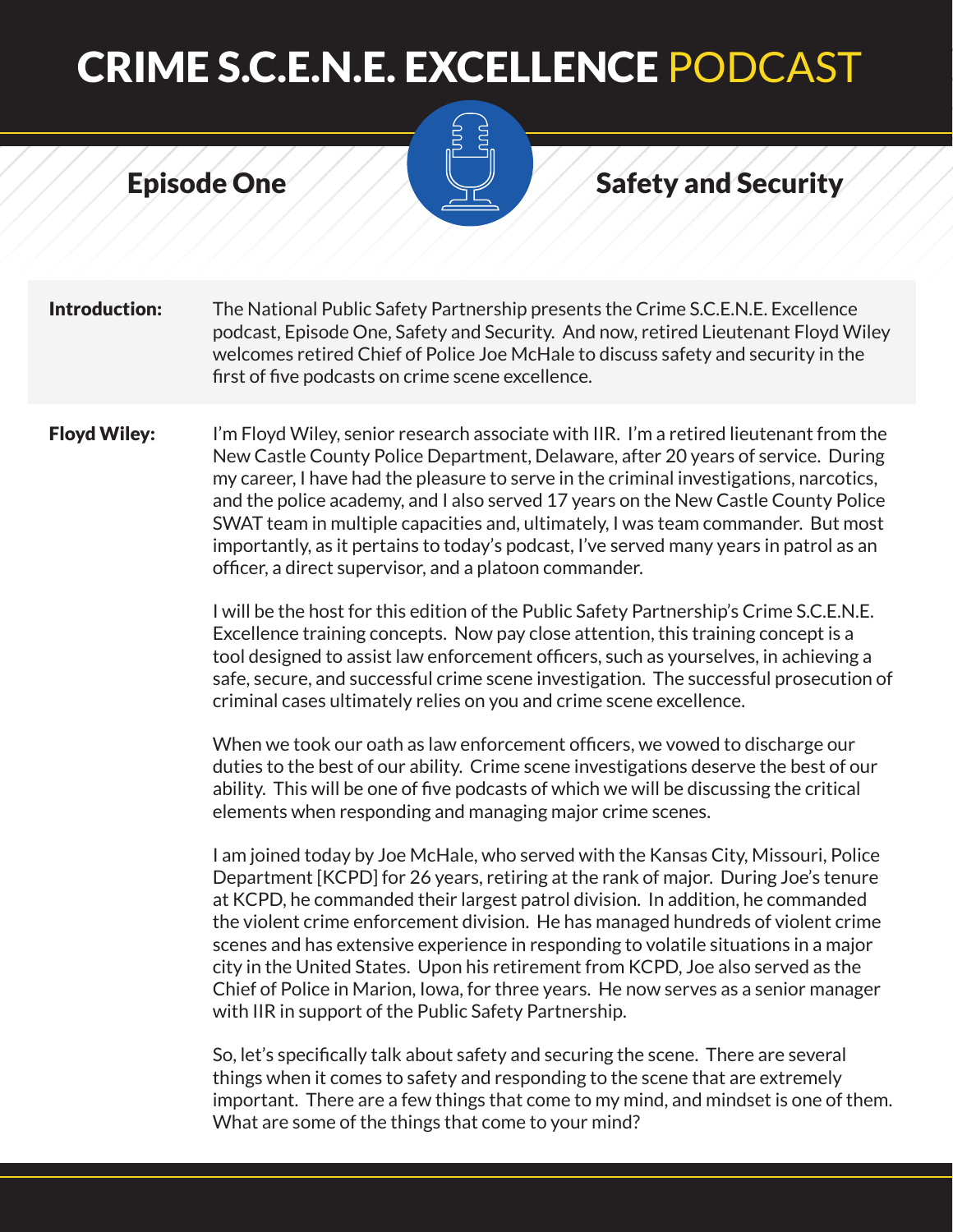#### Episode One Safety and Security

**Introduction:** The National Public Safety Partnership presents the Crime S.C.E.N.E. Excellence podcast, Episode One, Safety and Security. And now, retired Lieutenant Floyd Wiley welcomes retired Chief of Police Joe McHale to discuss safety and security in the first of five podcasts on crime scene excellence.

**Floyd Wiley:** I'm Floyd Wiley, senior research associate with IIR. I'm a retired lieutenant from the New Castle County Police Department, Delaware, after 20 years of service. During my career, I have had the pleasure to serve in the criminal investigations, narcotics, and the police academy, and I also served 17 years on the New Castle County Police SWAT team in multiple capacities and, ultimately, I was team commander. But most importantly, as it pertains to today's podcast, I've served many years in patrol as an officer, a direct supervisor, and a platoon commander.

> I will be the host for this edition of the Public Safety Partnership's Crime S.C.E.N.E. Excellence training concepts. Now pay close attention, this training concept is a tool designed to assist law enforcement officers, such as yourselves, in achieving a safe, secure, and successful crime scene investigation. The successful prosecution of criminal cases ultimately relies on you and crime scene excellence.

When we took our oath as law enforcement officers, we vowed to discharge our duties to the best of our ability. Crime scene investigations deserve the best of our ability. This will be one of five podcasts of which we will be discussing the critical elements when responding and managing major crime scenes.

I am joined today by Joe McHale, who served with the Kansas City, Missouri, Police Department [KCPD] for 26 years, retiring at the rank of major. During Joe's tenure at KCPD, he commanded their largest patrol division. In addition, he commanded the violent crime enforcement division. He has managed hundreds of violent crime scenes and has extensive experience in responding to volatile situations in a major city in the United States. Upon his retirement from KCPD, Joe also served as the Chief of Police in Marion, Iowa, for three years. He now serves as a senior manager with IIR in support of the Public Safety Partnership.

So, let's specifically talk about safety and securing the scene. There are several things when it comes to safety and responding to the scene that are extremely important. There are a few things that come to my mind, and mindset is one of them. What are some of the things that come to your mind?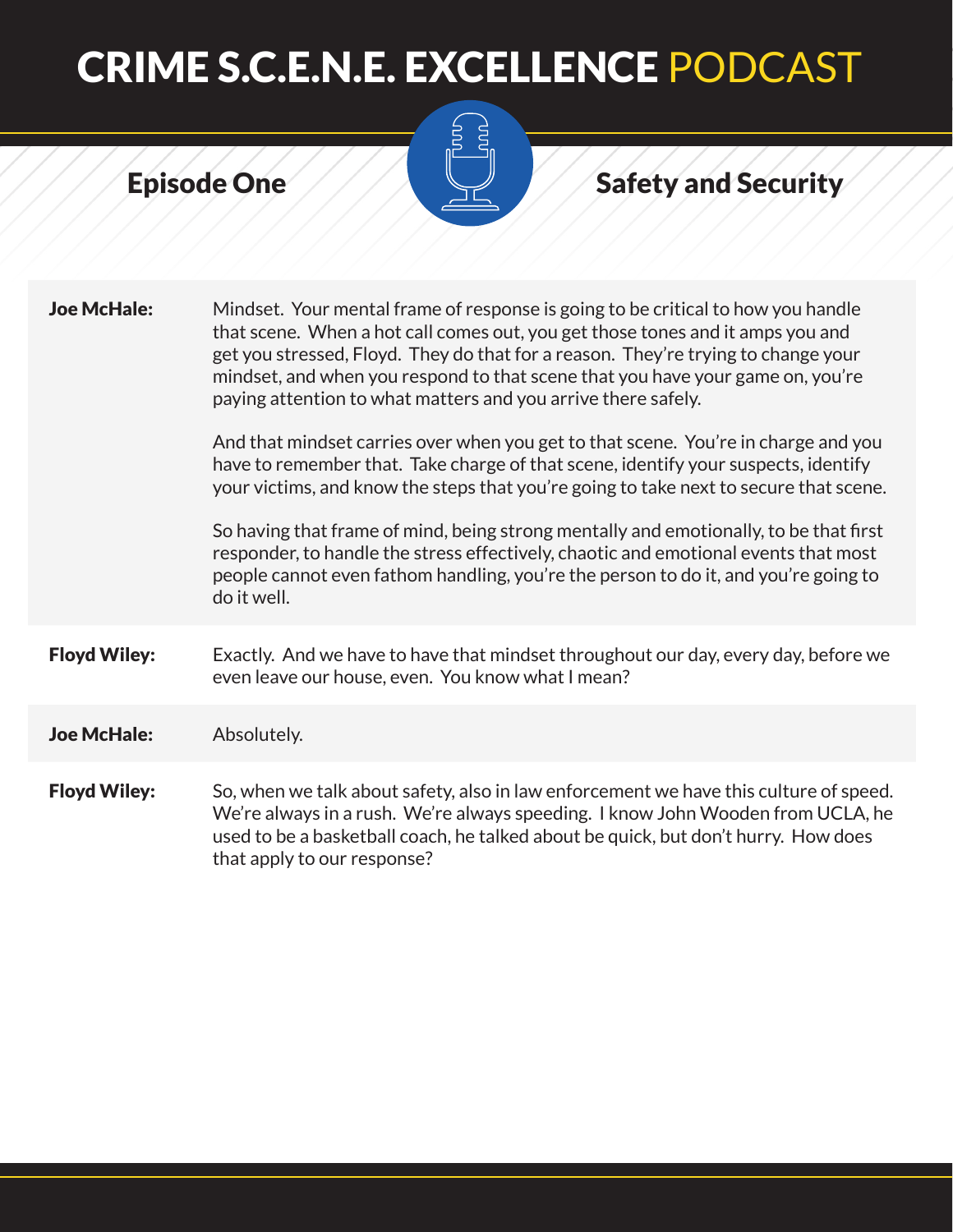# $\sum_{n=1}^{\infty}$

### Episode One Safety and Security

| <b>Joe McHale:</b>  | Mindset. Your mental frame of response is going to be critical to how you handle<br>that scene. When a hot call comes out, you get those tones and it amps you and<br>get you stressed, Floyd. They do that for a reason. They're trying to change your<br>mindset, and when you respond to that scene that you have your game on, you're<br>paying attention to what matters and you arrive there safely. |
|---------------------|------------------------------------------------------------------------------------------------------------------------------------------------------------------------------------------------------------------------------------------------------------------------------------------------------------------------------------------------------------------------------------------------------------|
|                     | And that mindset carries over when you get to that scene. You're in charge and you<br>have to remember that. Take charge of that scene, identify your suspects, identify<br>your victims, and know the steps that you're going to take next to secure that scene.                                                                                                                                          |
|                     | So having that frame of mind, being strong mentally and emotionally, to be that first<br>responder, to handle the stress effectively, chaotic and emotional events that most<br>people cannot even fathom handling, you're the person to do it, and you're going to<br>do it well.                                                                                                                         |
| <b>Floyd Wiley:</b> | Exactly. And we have to have that mindset throughout our day, every day, before we<br>even leave our house, even. You know what I mean?                                                                                                                                                                                                                                                                    |
| <b>Joe McHale:</b>  | Absolutely.                                                                                                                                                                                                                                                                                                                                                                                                |
| <b>Floyd Wiley:</b> | So, when we talk about safety, also in law enforcement we have this culture of speed.<br>We're always in a rush. We're always speeding. I know John Wooden from UCLA, he<br>used to be a basketball coach, he talked about be quick, but don't hurry. How does<br>that apply to our response?                                                                                                              |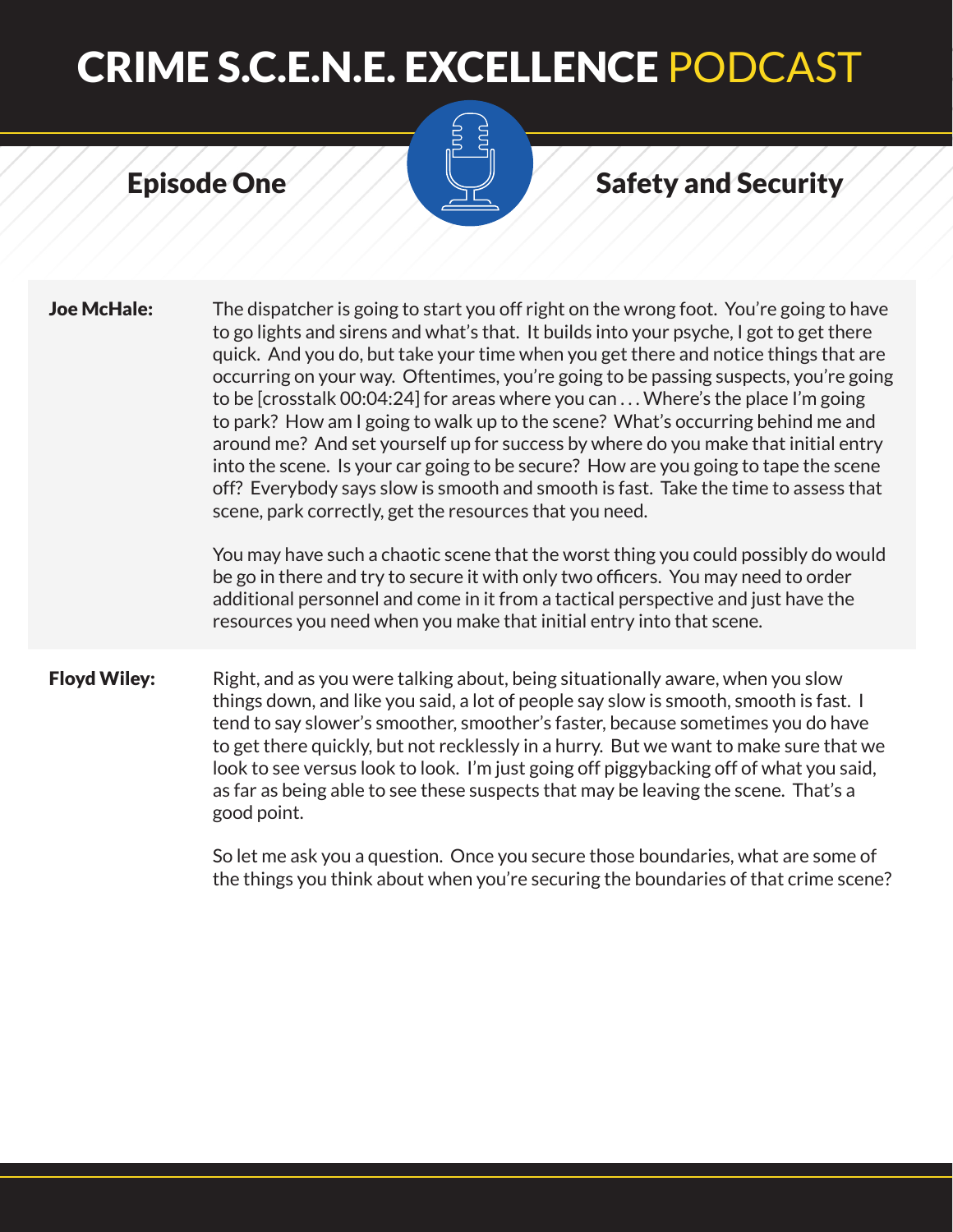#### Episode One Safety and Security

**Joe McHale:** The dispatcher is going to start you off right on the wrong foot. You're going to have to go lights and sirens and what's that. It builds into your psyche, I got to get there quick. And you do, but take your time when you get there and notice things that are occurring on your way. Oftentimes, you're going to be passing suspects, you're going to be [crosstalk 00:04:24] for areas where you can . . . Where's the place I'm going to park? How am I going to walk up to the scene? What's occurring behind me and around me? And set yourself up for success by where do you make that initial entry into the scene. Is your car going to be secure? How are you going to tape the scene off? Everybody says slow is smooth and smooth is fast. Take the time to assess that scene, park correctly, get the resources that you need. You may have such a chaotic scene that the worst thing you could possibly do would be go in there and try to secure it with only two officers. You may need to order additional personnel and come in it from a tactical perspective and just have the resources you need when you make that initial entry into that scene.

**Floyd Wiley:** Right, and as you were talking about, being situationally aware, when you slow things down, and like you said, a lot of people say slow is smooth, smooth is fast. I tend to say slower's smoother, smoother's faster, because sometimes you do have to get there quickly, but not recklessly in a hurry. But we want to make sure that we look to see versus look to look. I'm just going off piggybacking off of what you said, as far as being able to see these suspects that may be leaving the scene. That's a good point.

> So let me ask you a question. Once you secure those boundaries, what are some of the things you think about when you're securing the boundaries of that crime scene?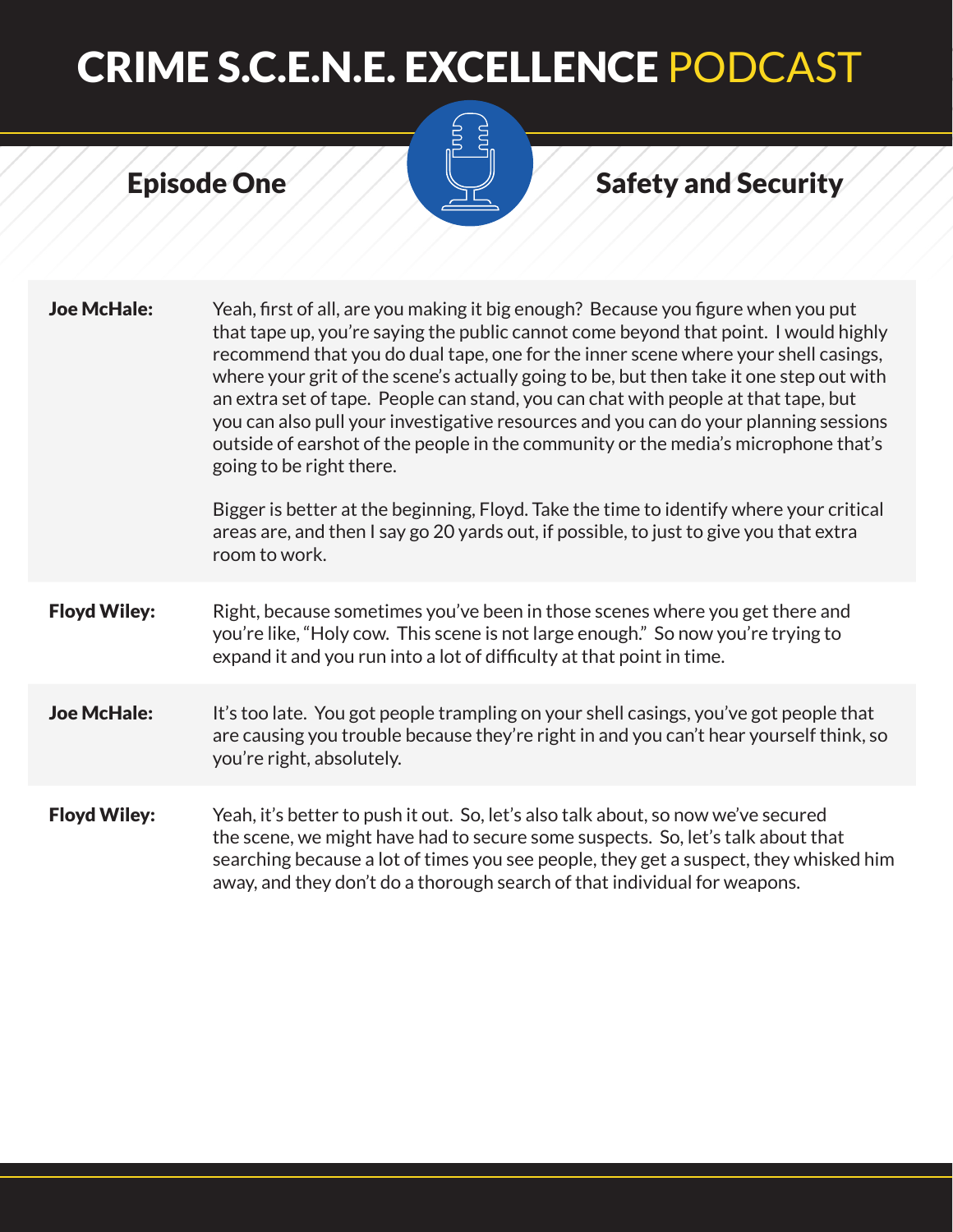# $\sum_{n=1}^{\infty}$

### Episode One Safety and Security

| <b>Joe McHale:</b>  | Yeah, first of all, are you making it big enough? Because you figure when you put<br>that tape up, you're saying the public cannot come beyond that point. I would highly<br>recommend that you do dual tape, one for the inner scene where your shell casings,<br>where your grit of the scene's actually going to be, but then take it one step out with<br>an extra set of tape. People can stand, you can chat with people at that tape, but<br>you can also pull your investigative resources and you can do your planning sessions<br>outside of earshot of the people in the community or the media's microphone that's<br>going to be right there.<br>Bigger is better at the beginning, Floyd. Take the time to identify where your critical<br>areas are, and then I say go 20 yards out, if possible, to just to give you that extra<br>room to work. |
|---------------------|------------------------------------------------------------------------------------------------------------------------------------------------------------------------------------------------------------------------------------------------------------------------------------------------------------------------------------------------------------------------------------------------------------------------------------------------------------------------------------------------------------------------------------------------------------------------------------------------------------------------------------------------------------------------------------------------------------------------------------------------------------------------------------------------------------------------------------------------------------------|
| <b>Floyd Wiley:</b> | Right, because sometimes you've been in those scenes where you get there and<br>you're like, "Holy cow. This scene is not large enough." So now you're trying to<br>expand it and you run into a lot of difficulty at that point in time.                                                                                                                                                                                                                                                                                                                                                                                                                                                                                                                                                                                                                        |
| <b>Joe McHale:</b>  | It's too late. You got people trampling on your shell casings, you've got people that<br>are causing you trouble because they're right in and you can't hear yourself think, so<br>you're right, absolutely.                                                                                                                                                                                                                                                                                                                                                                                                                                                                                                                                                                                                                                                     |
| <b>Floyd Wiley:</b> | Yeah, it's better to push it out. So, let's also talk about, so now we've secured<br>the scene, we might have had to secure some suspects. So, let's talk about that<br>searching because a lot of times you see people, they get a suspect, they whisked him<br>away, and they don't do a thorough search of that individual for weapons.                                                                                                                                                                                                                                                                                                                                                                                                                                                                                                                       |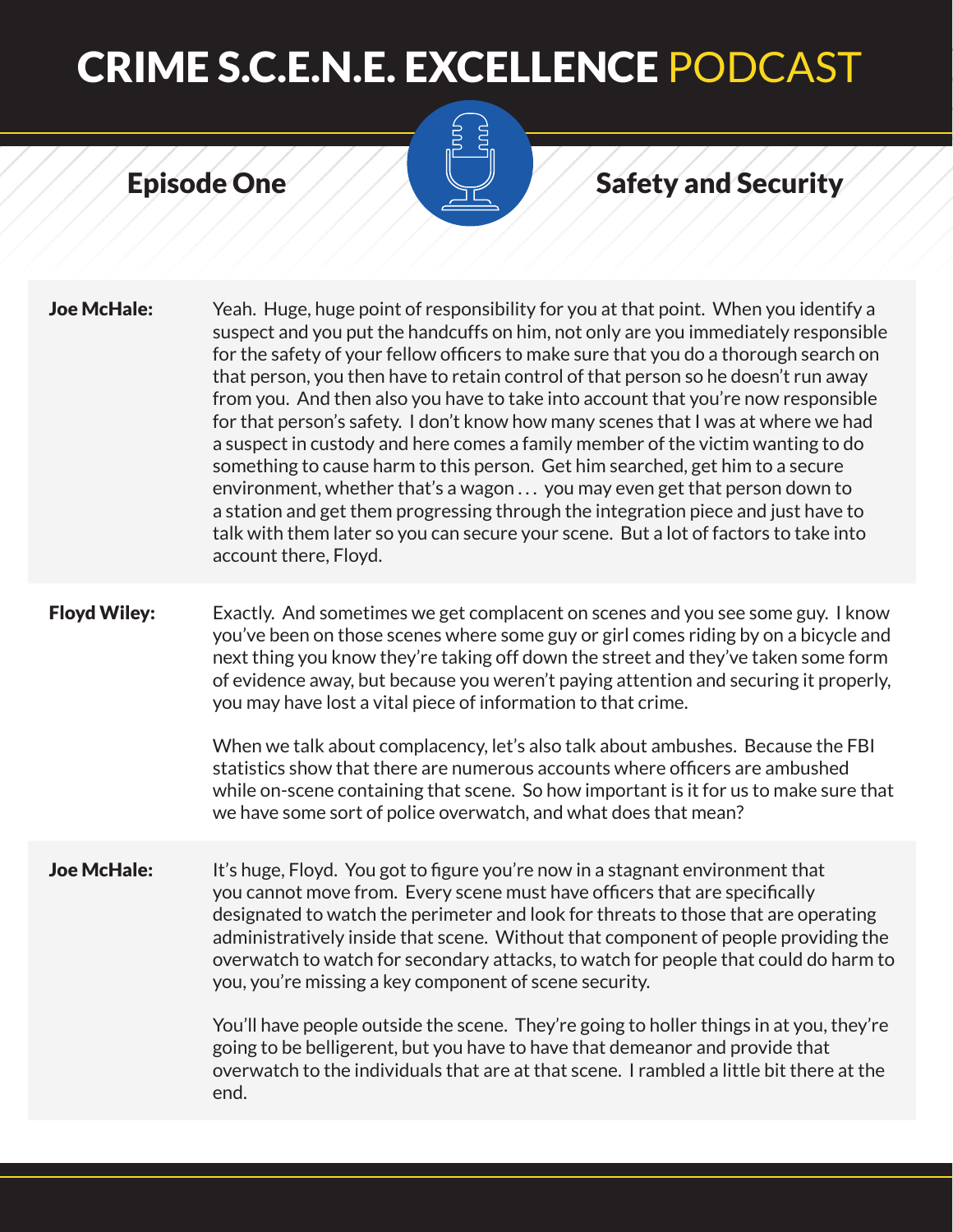

#### Episode One Safety and Security

**Joe McHale:** Yeah. Huge, huge point of responsibility for you at that point. When you identify a suspect and you put the handcuffs on him, not only are you immediately responsible for the safety of your fellow officers to make sure that you do a thorough search on that person, you then have to retain control of that person so he doesn't run away from you. And then also you have to take into account that you're now responsible for that person's safety. I don't know how many scenes that I was at where we had a suspect in custody and here comes a family member of the victim wanting to do something to cause harm to this person. Get him searched, get him to a secure environment, whether that's a wagon . . . you may even get that person down to a station and get them progressing through the integration piece and just have to talk with them later so you can secure your scene. But a lot of factors to take into account there, Floyd. **Floyd Wiley:** Exactly. And sometimes we get complacent on scenes and you see some guy. I know you've been on those scenes where some guy or girl comes riding by on a bicycle and next thing you know they're taking off down the street and they've taken some form of evidence away, but because you weren't paying attention and securing it properly, you may have lost a vital piece of information to that crime. When we talk about complacency, let's also talk about ambushes. Because the FBI statistics show that there are numerous accounts where officers are ambushed

**Joe McHale:** It's huge, Floyd. You got to figure you're now in a stagnant environment that you cannot move from. Every scene must have officers that are specifically designated to watch the perimeter and look for threats to those that are operating administratively inside that scene. Without that component of people providing the overwatch to watch for secondary attacks, to watch for people that could do harm to you, you're missing a key component of scene security.

we have some sort of police overwatch, and what does that mean?

You'll have people outside the scene. They're going to holler things in at you, they're going to be belligerent, but you have to have that demeanor and provide that overwatch to the individuals that are at that scene. I rambled a little bit there at the end.

while on-scene containing that scene. So how important is it for us to make sure that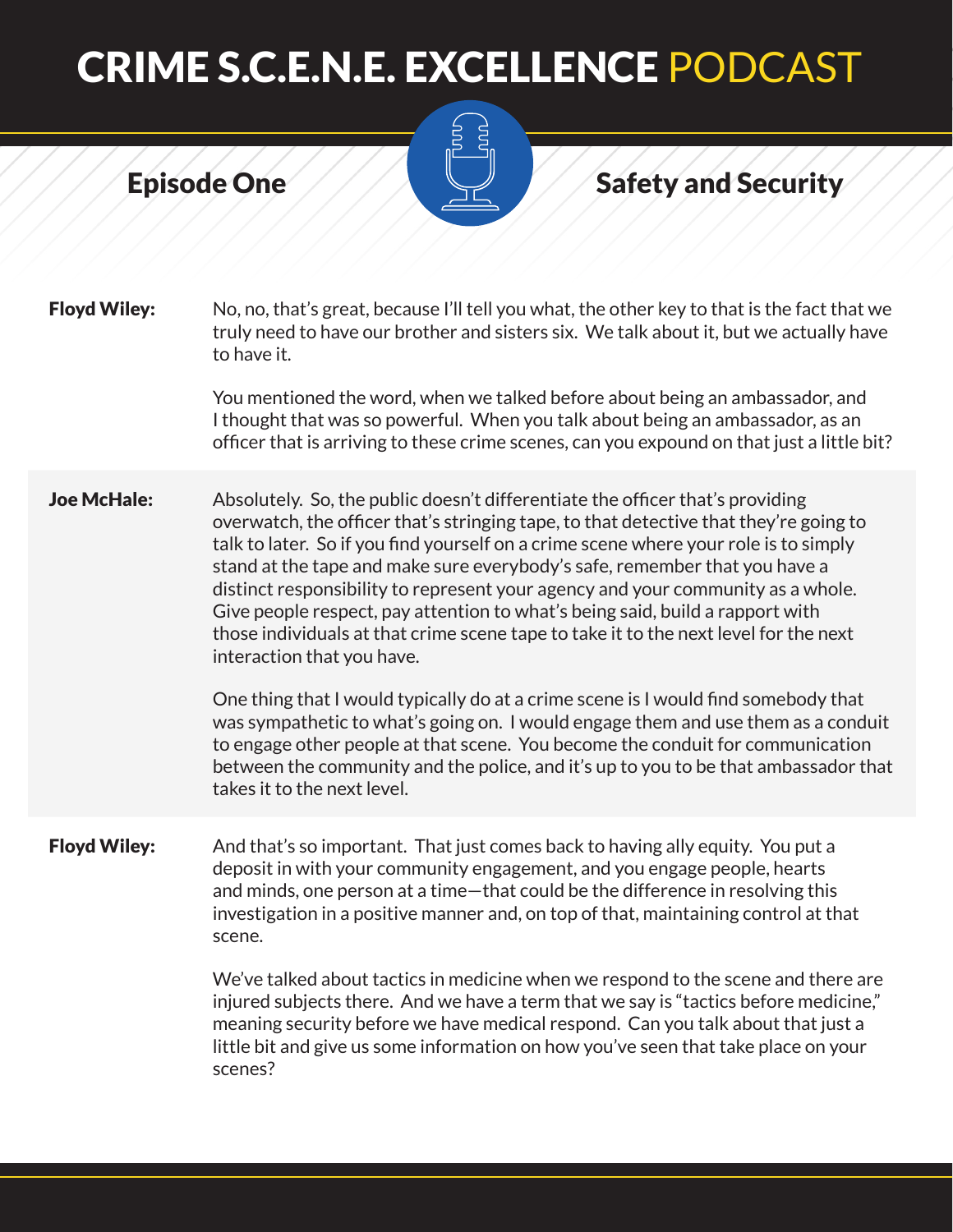

#### Episode One Safety and Security

**Floyd Wiley:** No, no, that's great, because I'll tell you what, the other key to that is the fact that we truly need to have our brother and sisters six. We talk about it, but we actually have to have it.

> You mentioned the word, when we talked before about being an ambassador, and I thought that was so powerful. When you talk about being an ambassador, as an officer that is arriving to these crime scenes, can you expound on that just a little bit?

**Joe McHale:** Absolutely. So, the public doesn't differentiate the officer that's providing overwatch, the officer that's stringing tape, to that detective that they're going to talk to later. So if you find yourself on a crime scene where your role is to simply stand at the tape and make sure everybody's safe, remember that you have a distinct responsibility to represent your agency and your community as a whole. Give people respect, pay attention to what's being said, build a rapport with those individuals at that crime scene tape to take it to the next level for the next interaction that you have.

> One thing that I would typically do at a crime scene is I would find somebody that was sympathetic to what's going on. I would engage them and use them as a conduit to engage other people at that scene. You become the conduit for communication between the community and the police, and it's up to you to be that ambassador that takes it to the next level.

Floyd Wiley: And that's so important. That just comes back to having ally equity. You put a deposit in with your community engagement, and you engage people, hearts and minds, one person at a time—that could be the difference in resolving this investigation in a positive manner and, on top of that, maintaining control at that scene.

> We've talked about tactics in medicine when we respond to the scene and there are injured subjects there. And we have a term that we say is "tactics before medicine," meaning security before we have medical respond. Can you talk about that just a little bit and give us some information on how you've seen that take place on your scenes?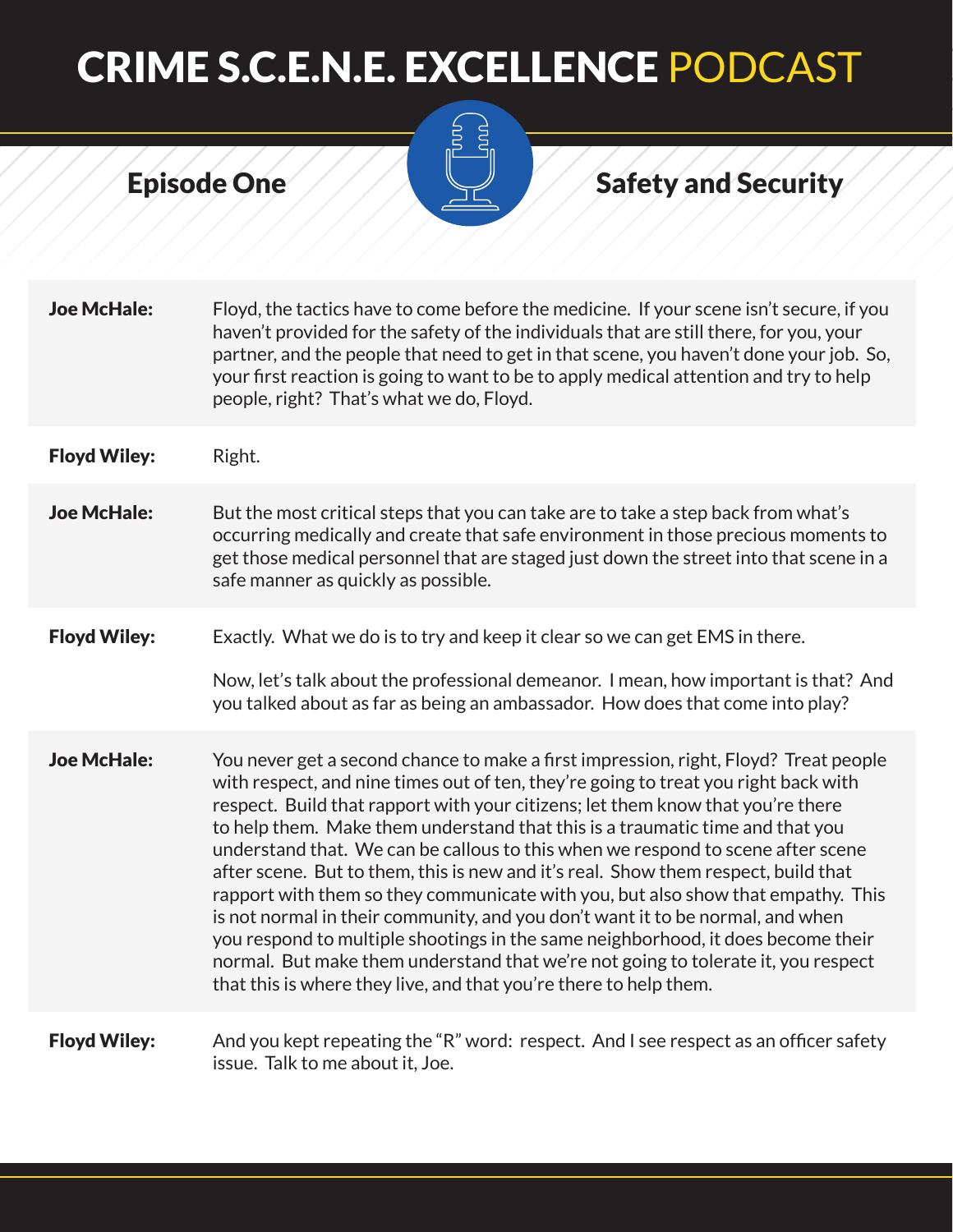

### Episode One Safety and Security

| <b>Joe McHale:</b>  | Floyd, the tactics have to come before the medicine. If your scene isn't secure, if you<br>haven't provided for the safety of the individuals that are still there, for you, your<br>partner, and the people that need to get in that scene, you haven't done your job. So,<br>your first reaction is going to want to be to apply medical attention and try to help<br>people, right? That's what we do, Floyd.                                                                                                                                                                                                                                                                                                                                                                                                                                                                                                                             |
|---------------------|----------------------------------------------------------------------------------------------------------------------------------------------------------------------------------------------------------------------------------------------------------------------------------------------------------------------------------------------------------------------------------------------------------------------------------------------------------------------------------------------------------------------------------------------------------------------------------------------------------------------------------------------------------------------------------------------------------------------------------------------------------------------------------------------------------------------------------------------------------------------------------------------------------------------------------------------|
| <b>Floyd Wiley:</b> | Right.                                                                                                                                                                                                                                                                                                                                                                                                                                                                                                                                                                                                                                                                                                                                                                                                                                                                                                                                       |
| <b>Joe McHale:</b>  | But the most critical steps that you can take are to take a step back from what's<br>occurring medically and create that safe environment in those precious moments to<br>get those medical personnel that are staged just down the street into that scene in a<br>safe manner as quickly as possible.                                                                                                                                                                                                                                                                                                                                                                                                                                                                                                                                                                                                                                       |
| <b>Floyd Wiley:</b> | Exactly. What we do is to try and keep it clear so we can get EMS in there.<br>Now, let's talk about the professional demeanor. I mean, how important is that? And<br>you talked about as far as being an ambassador. How does that come into play?                                                                                                                                                                                                                                                                                                                                                                                                                                                                                                                                                                                                                                                                                          |
| <b>Joe McHale:</b>  | You never get a second chance to make a first impression, right, Floyd? Treat people<br>with respect, and nine times out of ten, they're going to treat you right back with<br>respect. Build that rapport with your citizens; let them know that you're there<br>to help them. Make them understand that this is a traumatic time and that you<br>understand that. We can be callous to this when we respond to scene after scene<br>after scene. But to them, this is new and it's real. Show them respect, build that<br>rapport with them so they communicate with you, but also show that empathy. This<br>is not normal in their community, and you don't want it to be normal, and when<br>you respond to multiple shootings in the same neighborhood, it does become their<br>normal. But make them understand that we're not going to tolerate it, you respect<br>that this is where they live, and that you're there to help them. |
| <b>Floyd Wiley:</b> | And you kept repeating the "R" word: respect. And I see respect as an officer safety<br>issue. Talk to me about it, Joe.                                                                                                                                                                                                                                                                                                                                                                                                                                                                                                                                                                                                                                                                                                                                                                                                                     |